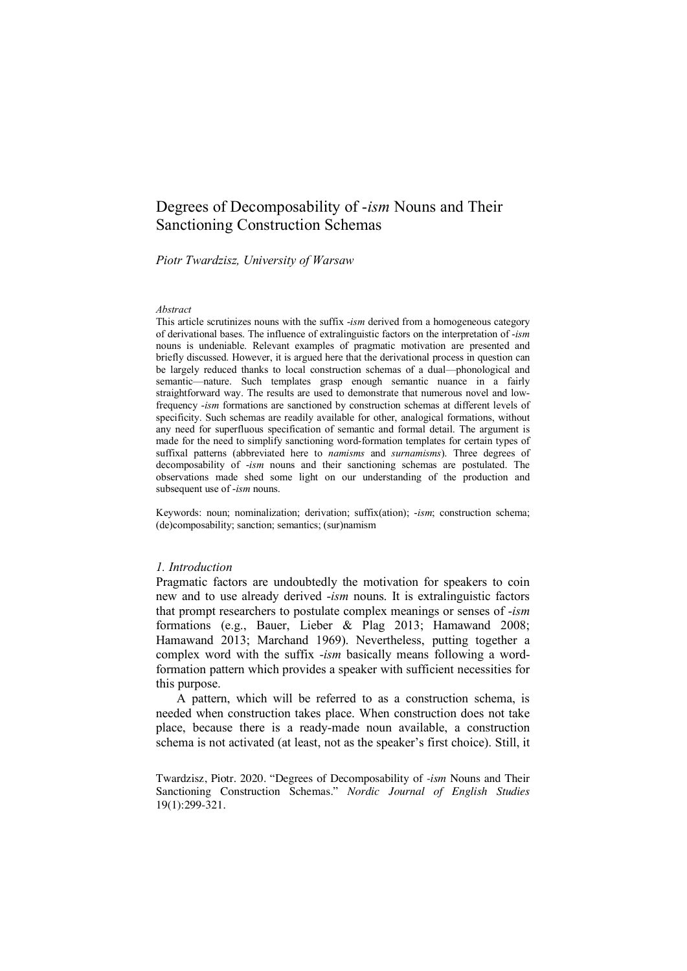# Degrees of Decomposability of -*ism* Nouns and Their Sanctioning Construction Schemas

#### *Piotr Twardzisz, University of Warsaw*

#### *Abstract*

This article scrutinizes nouns with the suffix -*ism* derived from a homogeneous category of derivational bases. The influence of extralinguistic factors on the interpretation of -*ism* nouns is undeniable. Relevant examples of pragmatic motivation are presented and briefly discussed. However, it is argued here that the derivational process in question can be largely reduced thanks to local construction schemas of a dual—phonological and semantic—nature. Such templates grasp enough semantic nuance in a fairly straightforward way. The results are used to demonstrate that numerous novel and lowfrequency -*ism* formations are sanctioned by construction schemas at different levels of specificity. Such schemas are readily available for other, analogical formations, without any need for superfluous specification of semantic and formal detail. The argument is made for the need to simplify sanctioning word-formation templates for certain types of suffixal patterns (abbreviated here to *namisms* and *surnamisms*). Three degrees of decomposability of -*ism* nouns and their sanctioning schemas are postulated. The observations made shed some light on our understanding of the production and subsequent use of -*ism* nouns.

Keywords: noun; nominalization; derivation; suffix(ation); -*ism*; construction schema; (de)composability; sanction; semantics; (sur)namism

### *1. Introduction*

Pragmatic factors are undoubtedly the motivation for speakers to coin new and to use already derived -*ism* nouns. It is extralinguistic factors that prompt researchers to postulate complex meanings or senses of -*ism* formations (e.g., Bauer, Lieber & Plag 2013; Hamawand 2008; Hamawand 2013; Marchand 1969). Nevertheless, putting together a complex word with the suffix -*ism* basically means following a wordformation pattern which provides a speaker with sufficient necessities for this purpose.

A pattern, which will be referred to as a construction schema, is needed when construction takes place. When construction does not take place, because there is a ready-made noun available, a construction schema is not activated (at least, not as the speaker's first choice). Still, it

Twardzisz, Piotr. 2020. "Degrees of Decomposability of -*ism* Nouns and Their Sanctioning Construction Schemas." *Nordic Journal of English Studies* 19(1):299-321.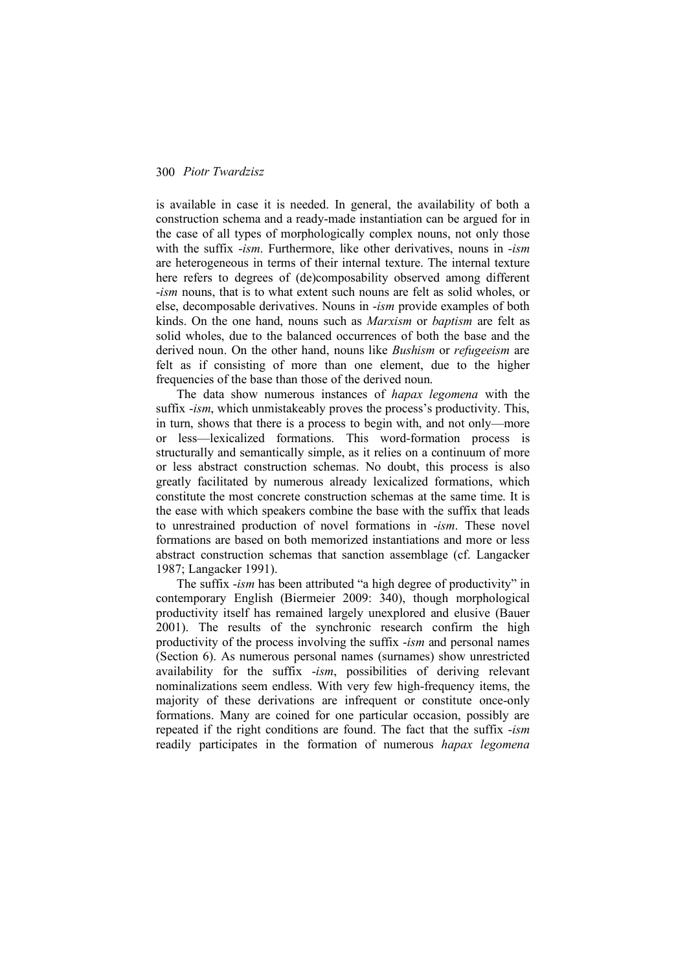is available in case it is needed. In general, the availability of both a construction schema and a ready-made instantiation can be argued for in the case of all types of morphologically complex nouns, not only those with the suffix -*ism*. Furthermore, like other derivatives, nouns in -*ism* are heterogeneous in terms of their internal texture. The internal texture here refers to degrees of (de)composability observed among different -*ism* nouns, that is to what extent such nouns are felt as solid wholes, or else, decomposable derivatives. Nouns in -*ism* provide examples of both kinds. On the one hand, nouns such as *Marxism* or *baptism* are felt as solid wholes, due to the balanced occurrences of both the base and the derived noun. On the other hand, nouns like *Bushism* or *refugeeism* are felt as if consisting of more than one element, due to the higher frequencies of the base than those of the derived noun.

The data show numerous instances of *hapax legomena* with the suffix -*ism*, which unmistakeably proves the process's productivity. This, in turn, shows that there is a process to begin with, and not only—more or less—lexicalized formations. This word-formation process is structurally and semantically simple, as it relies on a continuum of more or less abstract construction schemas. No doubt, this process is also greatly facilitated by numerous already lexicalized formations, which constitute the most concrete construction schemas at the same time. It is the ease with which speakers combine the base with the suffix that leads to unrestrained production of novel formations in -*ism*. These novel formations are based on both memorized instantiations and more or less abstract construction schemas that sanction assemblage (cf. Langacker 1987; Langacker 1991).

The suffix -*ism* has been attributed "a high degree of productivity" in contemporary English (Biermeier 2009: 340), though morphological productivity itself has remained largely unexplored and elusive (Bauer 2001). The results of the synchronic research confirm the high productivity of the process involving the suffix -*ism* and personal names (Section 6). As numerous personal names (surnames) show unrestricted availability for the suffix -*ism*, possibilities of deriving relevant nominalizations seem endless. With very few high-frequency items, the majority of these derivations are infrequent or constitute once-only formations. Many are coined for one particular occasion, possibly are repeated if the right conditions are found. The fact that the suffix -*ism* readily participates in the formation of numerous *hapax legomena*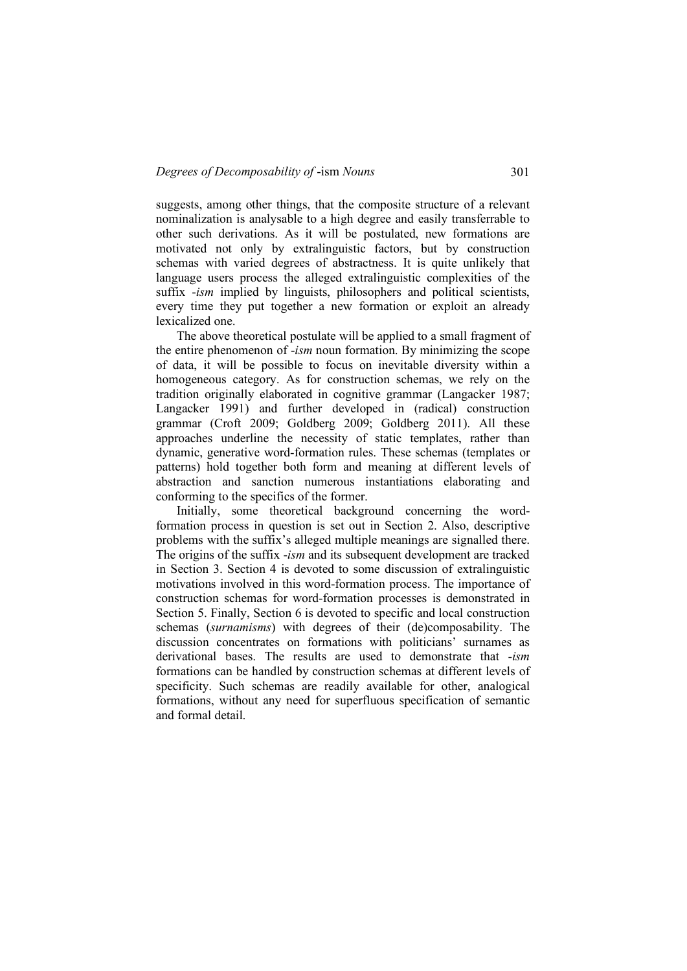suggests, among other things, that the composite structure of a relevant nominalization is analysable to a high degree and easily transferrable to other such derivations. As it will be postulated, new formations are motivated not only by extralinguistic factors, but by construction schemas with varied degrees of abstractness. It is quite unlikely that language users process the alleged extralinguistic complexities of the suffix -*ism* implied by linguists, philosophers and political scientists, every time they put together a new formation or exploit an already lexicalized one.

The above theoretical postulate will be applied to a small fragment of the entire phenomenon of -*ism* noun formation. By minimizing the scope of data, it will be possible to focus on inevitable diversity within a homogeneous category. As for construction schemas, we rely on the tradition originally elaborated in cognitive grammar (Langacker 1987; Langacker 1991) and further developed in (radical) construction grammar (Croft 2009; Goldberg 2009; Goldberg 2011). All these approaches underline the necessity of static templates, rather than dynamic, generative word-formation rules. These schemas (templates or patterns) hold together both form and meaning at different levels of abstraction and sanction numerous instantiations elaborating and conforming to the specifics of the former.

Initially, some theoretical background concerning the wordformation process in question is set out in Section 2. Also, descriptive problems with the suffix's alleged multiple meanings are signalled there. The origins of the suffix -*ism* and its subsequent development are tracked in Section 3. Section 4 is devoted to some discussion of extralinguistic motivations involved in this word-formation process. The importance of construction schemas for word-formation processes is demonstrated in Section 5. Finally, Section 6 is devoted to specific and local construction schemas (*surnamisms*) with degrees of their (de)composability. The discussion concentrates on formations with politicians' surnames as derivational bases. The results are used to demonstrate that -*ism* formations can be handled by construction schemas at different levels of specificity. Such schemas are readily available for other, analogical formations, without any need for superfluous specification of semantic and formal detail.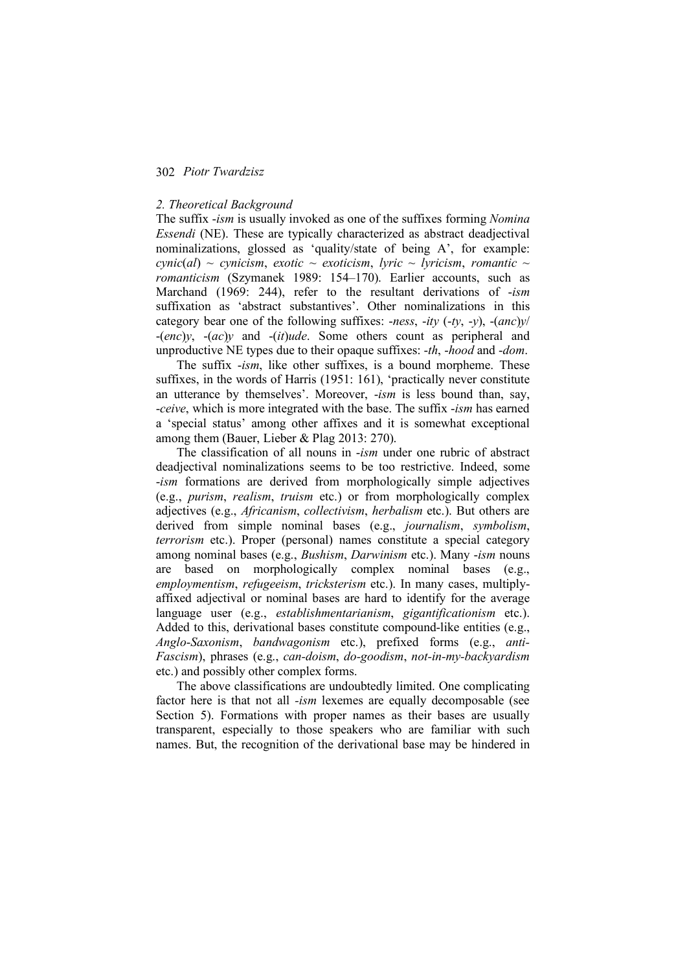### *2. Theoretical Background*

The suffix -*ism* is usually invoked as one of the suffixes forming *Nomina Essendi* (NE). These are typically characterized as abstract deadjectival nominalizations, glossed as 'quality/state of being A', for example:  $cynic(al) \sim$  *cynicism, exotic* ~ *exoticism, lyric* ~ *lyricism, romantic* ~ *romanticism* (Szymanek 1989: 154–170). Earlier accounts, such as Marchand (1969: 244), refer to the resultant derivations of -*ism* suffixation as 'abstract substantives'. Other nominalizations in this category bear one of the following suffixes: -*ness*, -*ity* (-*ty*, -*y*), -(*anc*)*y*/ -(*enc*)*y*, -(*ac*)*y* and -(*it*)*ude*. Some others count as peripheral and unproductive NE types due to their opaque suffixes: -*th*, -*hood* and -*dom*.

The suffix -*ism*, like other suffixes, is a bound morpheme. These suffixes, in the words of Harris (1951: 161), 'practically never constitute an utterance by themselves'. Moreover, -*ism* is less bound than, say, -*ceive*, which is more integrated with the base. The suffix -*ism* has earned a 'special status' among other affixes and it is somewhat exceptional among them (Bauer, Lieber & Plag 2013: 270).

The classification of all nouns in -*ism* under one rubric of abstract deadjectival nominalizations seems to be too restrictive. Indeed, some -*ism* formations are derived from morphologically simple adjectives (e.g., *purism*, *realism*, *truism* etc.) or from morphologically complex adjectives (e.g., *Africanism*, *collectivism*, *herbalism* etc.). But others are derived from simple nominal bases (e.g., *journalism*, *symbolism*, *terrorism* etc.). Proper (personal) names constitute a special category among nominal bases (e.g., *Bushism*, *Darwinism* etc.). Many -*ism* nouns are based on morphologically complex nominal bases (e.g., *employmentism*, *refugeeism*, *tricksterism* etc.). In many cases, multiplyaffixed adjectival or nominal bases are hard to identify for the average language user (e.g., *establishmentarianism*, *gigantificationism* etc.). Added to this, derivational bases constitute compound-like entities (e.g., *Anglo*-*Saxonism*, *bandwagonism* etc.), prefixed forms (e.g., *anti-Fascism*), phrases (e.g., *can-doism*, *do-goodism*, *not-in-my-backyardism* etc.) and possibly other complex forms.

The above classifications are undoubtedly limited. One complicating factor here is that not all *-ism* lexemes are equally decomposable (see Section 5). Formations with proper names as their bases are usually transparent, especially to those speakers who are familiar with such names. But, the recognition of the derivational base may be hindered in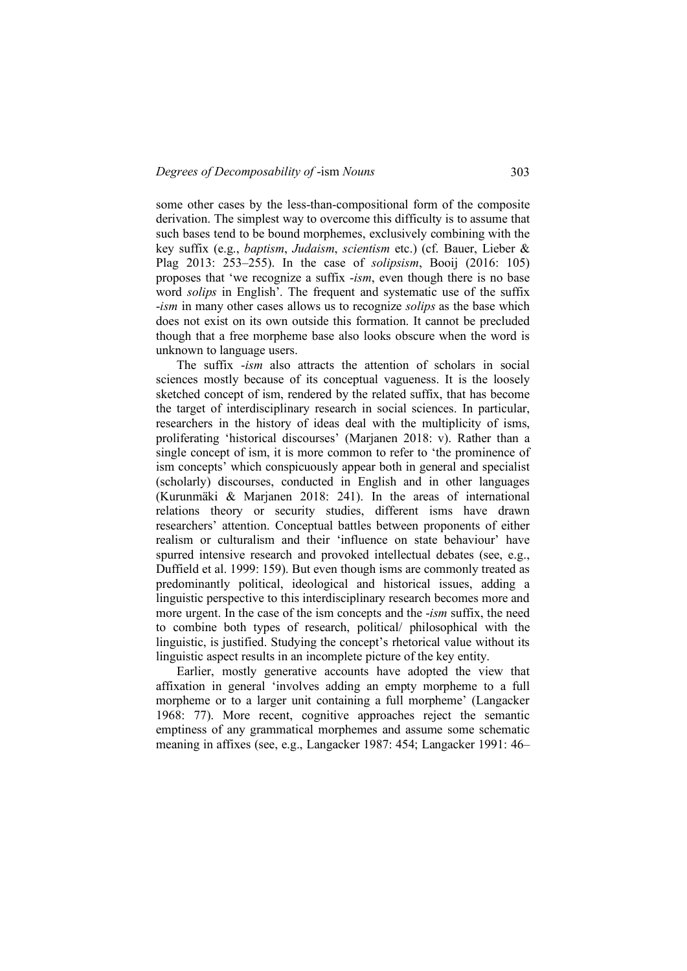some other cases by the less-than-compositional form of the composite derivation. The simplest way to overcome this difficulty is to assume that such bases tend to be bound morphemes, exclusively combining with the key suffix (e.g., *baptism*, *Judaism*, *scientism* etc.) (cf. Bauer, Lieber & Plag 2013: 253–255). In the case of *solipsism*, Booij (2016: 105) proposes that 'we recognize a suffix -*ism*, even though there is no base word *solips* in English'. The frequent and systematic use of the suffix -*ism* in many other cases allows us to recognize *solips* as the base which does not exist on its own outside this formation. It cannot be precluded though that a free morpheme base also looks obscure when the word is unknown to language users.

The suffix -*ism* also attracts the attention of scholars in social sciences mostly because of its conceptual vagueness. It is the loosely sketched concept of ism, rendered by the related suffix, that has become the target of interdisciplinary research in social sciences. In particular, researchers in the history of ideas deal with the multiplicity of isms, proliferating 'historical discourses' (Marjanen 2018: v). Rather than a single concept of ism, it is more common to refer to 'the prominence of ism concepts' which conspicuously appear both in general and specialist (scholarly) discourses, conducted in English and in other languages (Kurunmäki & Marjanen 2018: 241). In the areas of international relations theory or security studies, different isms have drawn researchers' attention. Conceptual battles between proponents of either realism or culturalism and their 'influence on state behaviour' have spurred intensive research and provoked intellectual debates (see, e.g., Duffield et al. 1999: 159). But even though isms are commonly treated as predominantly political, ideological and historical issues, adding a linguistic perspective to this interdisciplinary research becomes more and more urgent. In the case of the ism concepts and the -*ism* suffix, the need to combine both types of research, political/ philosophical with the linguistic, is justified. Studying the concept's rhetorical value without its linguistic aspect results in an incomplete picture of the key entity.

Earlier, mostly generative accounts have adopted the view that affixation in general 'involves adding an empty morpheme to a full morpheme or to a larger unit containing a full morpheme' (Langacker 1968: 77). More recent, cognitive approaches reject the semantic emptiness of any grammatical morphemes and assume some schematic meaning in affixes (see, e.g., Langacker 1987: 454; Langacker 1991: 46–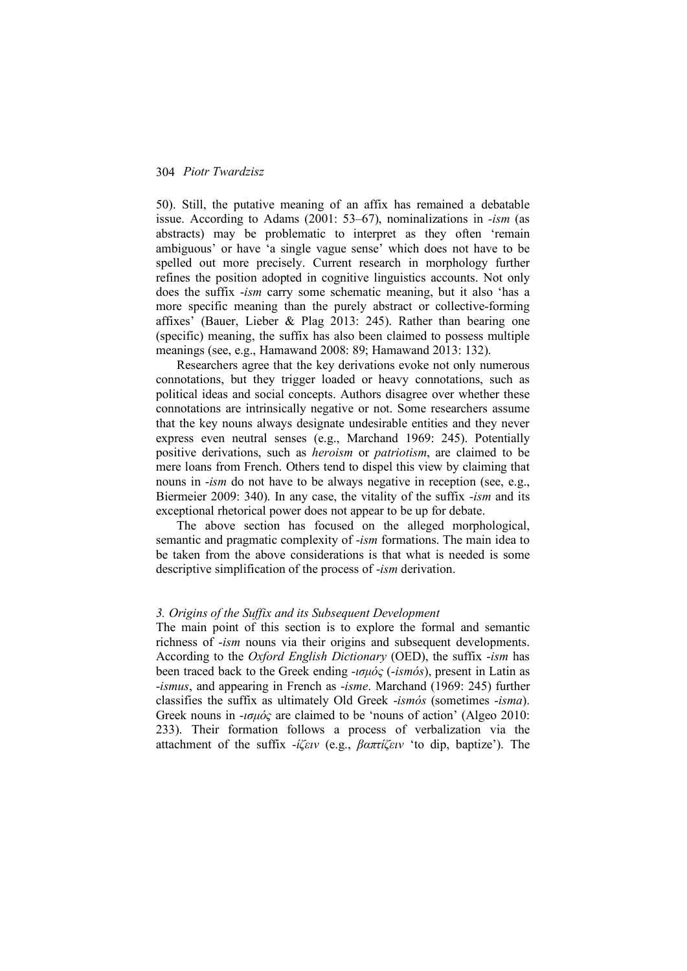50). Still, the putative meaning of an affix has remained a debatable issue. According to Adams (2001: 53–67), nominalizations in *-ism* (as abstracts) may be problematic to interpret as they often 'remain ambiguous' or have 'a single vague sense' which does not have to be spelled out more precisely. Current research in morphology further refines the position adopted in cognitive linguistics accounts. Not only does the suffix -*ism* carry some schematic meaning, but it also 'has a more specific meaning than the purely abstract or collective-forming affixes' (Bauer, Lieber & Plag 2013: 245). Rather than bearing one (specific) meaning, the suffix has also been claimed to possess multiple meanings (see, e.g., Hamawand 2008: 89; Hamawand 2013: 132).

Researchers agree that the key derivations evoke not only numerous connotations, but they trigger loaded or heavy connotations, such as political ideas and social concepts. Authors disagree over whether these connotations are intrinsically negative or not. Some researchers assume that the key nouns always designate undesirable entities and they never express even neutral senses (e.g., Marchand 1969: 245). Potentially positive derivations, such as *heroism* or *patriotism*, are claimed to be mere loans from French. Others tend to dispel this view by claiming that nouns in -*ism* do not have to be always negative in reception (see, e.g., Biermeier 2009: 340). In any case, the vitality of the suffix -*ism* and its exceptional rhetorical power does not appear to be up for debate.

The above section has focused on the alleged morphological, semantic and pragmatic complexity of -*ism* formations. The main idea to be taken from the above considerations is that what is needed is some descriptive simplification of the process of -*ism* derivation.

### *3. Origins of the Suffix and its Subsequent Development*

The main point of this section is to explore the formal and semantic richness of -*ism* nouns via their origins and subsequent developments. According to the *Oxford English Dictionary* (OED), the suffix -*ism* has been traced back to the Greek ending -*ισµός* (-*ismós*), present in Latin as -*ismus*, and appearing in French as -*isme*. Marchand (1969: 245) further classifies the suffix as ultimately Old Greek -*ismós* (sometimes -*isma*). Greek nouns in -*ισµός* are claimed to be 'nouns of action' (Algeo 2010: 233). Their formation follows a process of verbalization via the attachment of the suffix -*ίζειν* (e.g., *βαπτίζειν* 'to dip, baptize'). The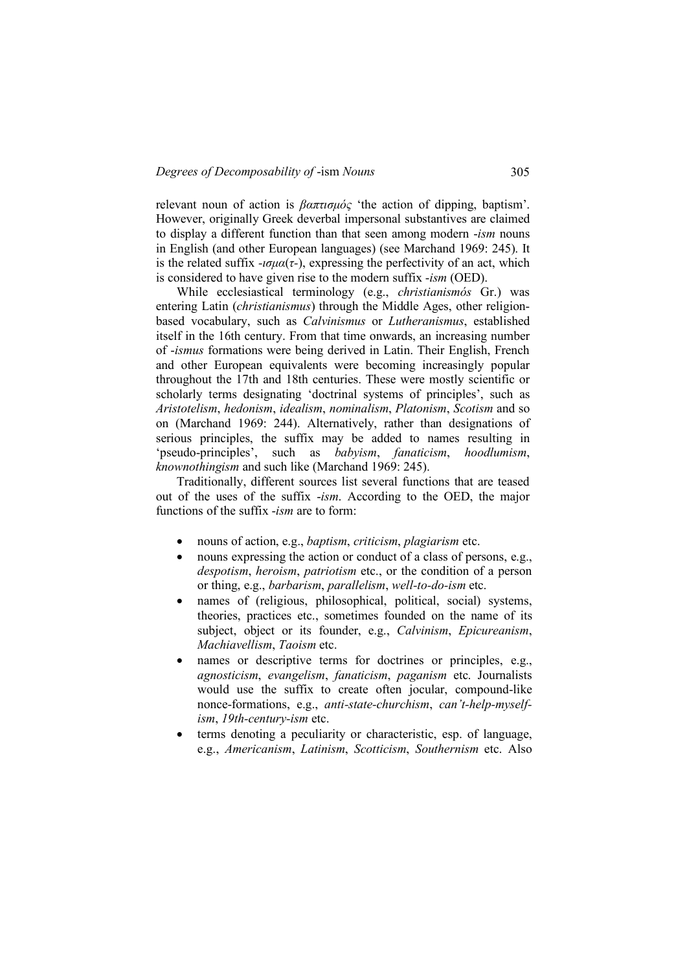relevant noun of action is *βαπτισµός* 'the action of dipping, baptism'. However, originally Greek deverbal impersonal substantives are claimed to display a different function than that seen among modern -*ism* nouns in English (and other European languages) (see Marchand 1969: 245). It is the related suffix  $-i\sigma\mu\alpha(\tau)$ , expressing the perfectivity of an act, which is considered to have given rise to the modern suffix -*ism* (OED).

While ecclesiastical terminology (e.g., *christianismós* Gr.) was entering Latin (*christianismus*) through the Middle Ages, other religionbased vocabulary, such as *Calvinismus* or *Lutheranismus*, established itself in the 16th century. From that time onwards, an increasing number of -*ismus* formations were being derived in Latin. Their English, French and other European equivalents were becoming increasingly popular throughout the 17th and 18th centuries. These were mostly scientific or scholarly terms designating 'doctrinal systems of principles', such as *Aristotelism*, *hedonism*, *idealism*, *nominalism*, *Platonism*, *Scotism* and so on (Marchand 1969: 244). Alternatively, rather than designations of serious principles, the suffix may be added to names resulting in 'pseudo-principles', such as *babyism*, *fanaticism*, *hoodlumism*, *knownothingism* and such like (Marchand 1969: 245).

Traditionally, different sources list several functions that are teased out of the uses of the suffix -*ism*. According to the OED, the major functions of the suffix -*ism* are to form:

- nouns of action, e.g., *baptism*, *criticism*, *plagiarism* etc.
- nouns expressing the action or conduct of a class of persons, e.g., *despotism*, *heroism*, *patriotism* etc., or the condition of a person or thing, e.g., *barbarism*, *parallelism*, *well-to-do-ism* etc.
- names of (religious, philosophical, political, social) systems, theories, practices etc., sometimes founded on the name of its subject, object or its founder, e.g., *Calvinism*, *Epicureanism*, *Machiavellism*, *Taoism* etc.
- names or descriptive terms for doctrines or principles, e.g., *agnosticism*, *evangelism*, *fanaticism*, *paganism* etc. Journalists would use the suffix to create often jocular, compound-like nonce-formations, e.g., *anti-state-churchism*, *can't-help-myselfism*, *19th-century-ism* etc.
- terms denoting a peculiarity or characteristic, esp. of language, e.g., *Americanism*, *Latinism*, *Scotticism*, *Southernism* etc. Also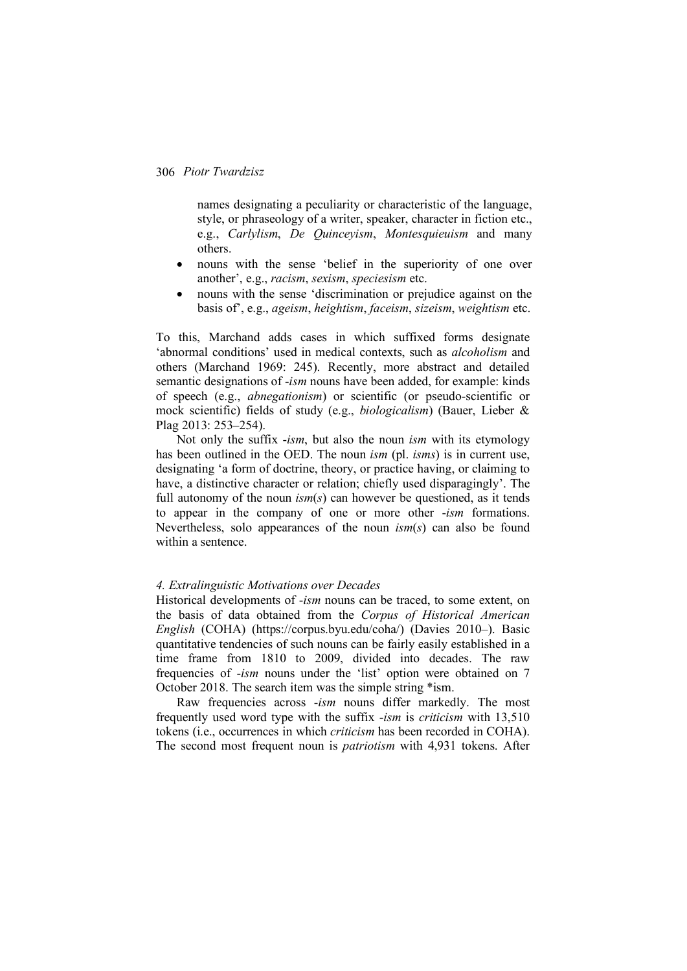names designating a peculiarity or characteristic of the language, style, or phraseology of a writer, speaker, character in fiction etc., e.g., *Carlylism*, *De Quinceyism*, *Montesquieuism* and many others.

- nouns with the sense 'belief in the superiority of one over another', e.g., *racism*, *sexism*, *speciesism* etc.
- nouns with the sense 'discrimination or prejudice against on the basis of', e.g., *ageism*, *heightism*, *faceism*, *sizeism*, *weightism* etc.

To this, Marchand adds cases in which suffixed forms designate 'abnormal conditions' used in medical contexts, such as *alcoholism* and others (Marchand 1969: 245). Recently, more abstract and detailed semantic designations of -*ism* nouns have been added, for example: kinds of speech (e.g., *abnegationism*) or scientific (or pseudo-scientific or mock scientific) fields of study (e.g., *biologicalism*) (Bauer, Lieber & Plag 2013: 253–254).

Not only the suffix -*ism*, but also the noun *ism* with its etymology has been outlined in the OED. The noun *ism* (pl. *isms*) is in current use, designating 'a form of doctrine, theory, or practice having, or claiming to have, a distinctive character or relation; chiefly used disparagingly'. The full autonomy of the noun *ism*(*s*) can however be questioned, as it tends to appear in the company of one or more other -*ism* formations. Nevertheless, solo appearances of the noun *ism*(*s*) can also be found within a sentence.

### *4. Extralinguistic Motivations over Decades*

Historical developments of -*ism* nouns can be traced, to some extent, on the basis of data obtained from the *Corpus of Historical American English* (COHA) (https://corpus.byu.edu/coha/) (Davies 2010–). Basic quantitative tendencies of such nouns can be fairly easily established in a time frame from 1810 to 2009, divided into decades. The raw frequencies of -*ism* nouns under the 'list' option were obtained on 7 October 2018. The search item was the simple string \*ism.

Raw frequencies across -*ism* nouns differ markedly. The most frequently used word type with the suffix -*ism* is *criticism* with 13,510 tokens (i.e., occurrences in which *criticism* has been recorded in COHA). The second most frequent noun is *patriotism* with 4,931 tokens. After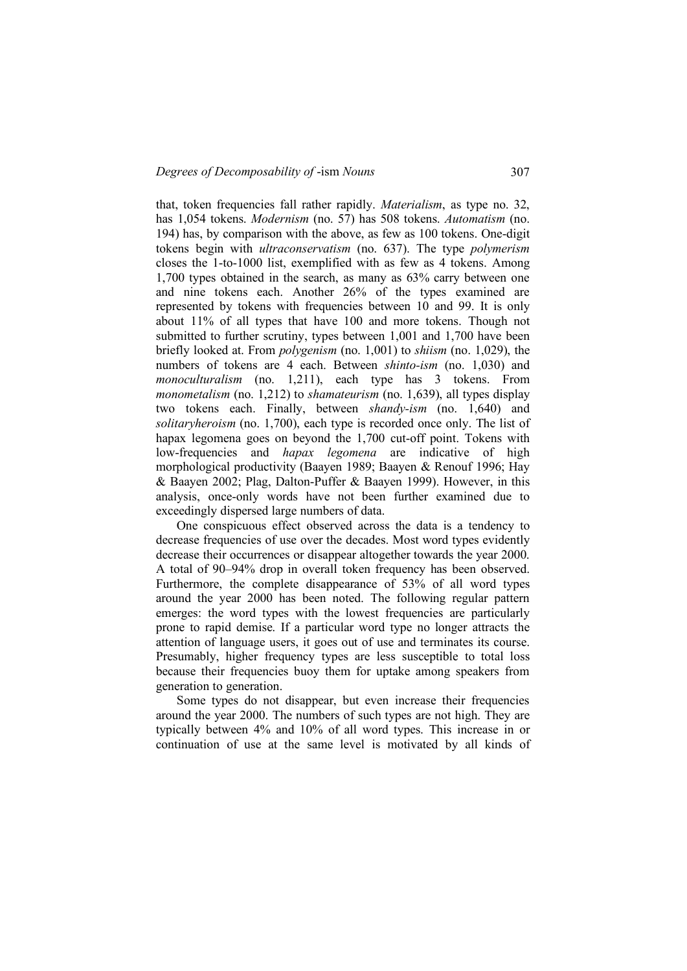### *Degrees of Decomposability of -ism Nouns* 307

that, token frequencies fall rather rapidly. *Materialism*, as type no. 32, has 1,054 tokens. *Modernism* (no. 57) has 508 tokens. *Automatism* (no. 194) has, by comparison with the above, as few as 100 tokens. One-digit tokens begin with *ultraconservatism* (no. 637). The type *polymerism* closes the 1-to-1000 list, exemplified with as few as 4 tokens. Among 1,700 types obtained in the search, as many as 63% carry between one and nine tokens each. Another 26% of the types examined are represented by tokens with frequencies between 10 and 99. It is only about 11% of all types that have 100 and more tokens. Though not submitted to further scrutiny, types between 1,001 and 1,700 have been briefly looked at. From *polygenism* (no. 1,001) to *shiism* (no. 1,029), the numbers of tokens are 4 each. Between *shinto-ism* (no. 1,030) and *monoculturalism* (no. 1,211), each type has 3 tokens. From *monometalism* (no. 1,212) to *shamateurism* (no. 1,639), all types display two tokens each. Finally, between *shandy-ism* (no. 1,640) and *solitaryheroism* (no. 1,700), each type is recorded once only. The list of hapax legomena goes on beyond the 1,700 cut-off point. Tokens with low-frequencies and *hapax legomena* are indicative of high morphological productivity (Baayen 1989; Baayen & Renouf 1996; Hay & Baayen 2002; Plag, Dalton-Puffer & Baayen 1999). However, in this analysis, once-only words have not been further examined due to exceedingly dispersed large numbers of data.

One conspicuous effect observed across the data is a tendency to decrease frequencies of use over the decades. Most word types evidently decrease their occurrences or disappear altogether towards the year 2000. A total of 90–94% drop in overall token frequency has been observed. Furthermore, the complete disappearance of 53% of all word types around the year 2000 has been noted. The following regular pattern emerges: the word types with the lowest frequencies are particularly prone to rapid demise. If a particular word type no longer attracts the attention of language users, it goes out of use and terminates its course. Presumably, higher frequency types are less susceptible to total loss because their frequencies buoy them for uptake among speakers from generation to generation.

Some types do not disappear, but even increase their frequencies around the year 2000. The numbers of such types are not high. They are typically between 4% and 10% of all word types. This increase in or continuation of use at the same level is motivated by all kinds of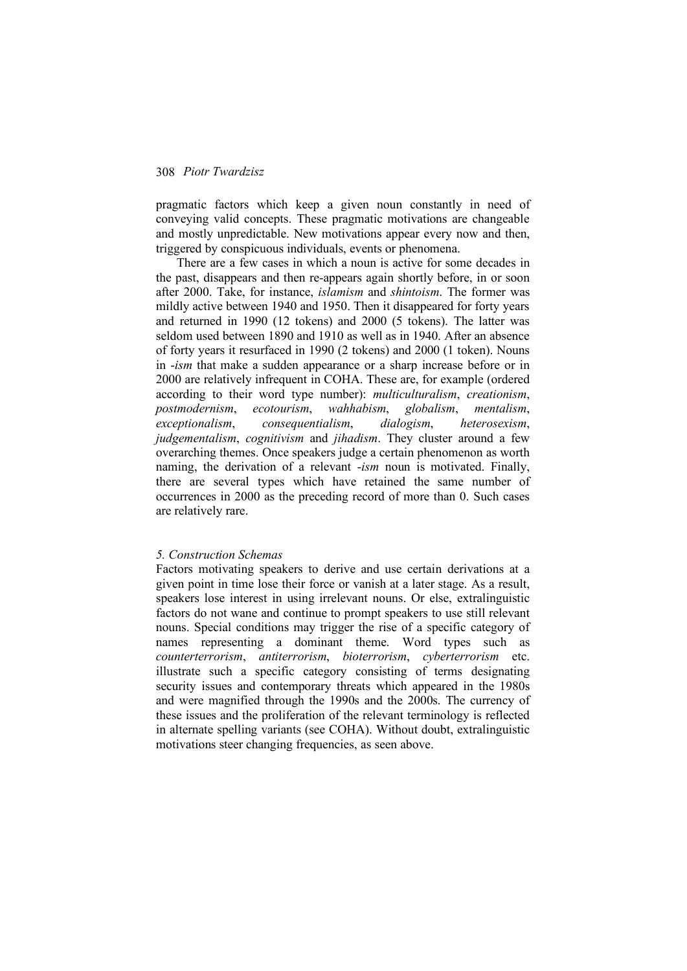pragmatic factors which keep a given noun constantly in need of conveying valid concepts. These pragmatic motivations are changeable and mostly unpredictable. New motivations appear every now and then, triggered by conspicuous individuals, events or phenomena.

There are a few cases in which a noun is active for some decades in the past, disappears and then re-appears again shortly before, in or soon after 2000. Take, for instance, *islamism* and *shintoism*. The former was mildly active between 1940 and 1950. Then it disappeared for forty years and returned in 1990 (12 tokens) and 2000 (5 tokens). The latter was seldom used between 1890 and 1910 as well as in 1940. After an absence of forty years it resurfaced in 1990 (2 tokens) and 2000 (1 token). Nouns in -*ism* that make a sudden appearance or a sharp increase before or in 2000 are relatively infrequent in COHA. These are, for example (ordered according to their word type number): *multiculturalism*, *creationism*, *postmodernism*, *ecotourism*, *wahhabism*, *globalism*, *mentalism*, *exceptionalism*, *consequentialism*, *dialogism*, *heterosexism*, *judgementalism*, *cognitivism* and *jihadism*. They cluster around a few overarching themes. Once speakers judge a certain phenomenon as worth naming, the derivation of a relevant -*ism* noun is motivated. Finally, there are several types which have retained the same number of occurrences in 2000 as the preceding record of more than 0. Such cases are relatively rare.

#### *5. Construction Schemas*

Factors motivating speakers to derive and use certain derivations at a given point in time lose their force or vanish at a later stage. As a result, speakers lose interest in using irrelevant nouns. Or else, extralinguistic factors do not wane and continue to prompt speakers to use still relevant nouns. Special conditions may trigger the rise of a specific category of names representing a dominant theme. Word types such as *counterterrorism*, *antiterrorism*, *bioterrorism*, *cyberterrorism* etc. illustrate such a specific category consisting of terms designating security issues and contemporary threats which appeared in the 1980s and were magnified through the 1990s and the 2000s. The currency of these issues and the proliferation of the relevant terminology is reflected in alternate spelling variants (see COHA). Without doubt, extralinguistic motivations steer changing frequencies, as seen above.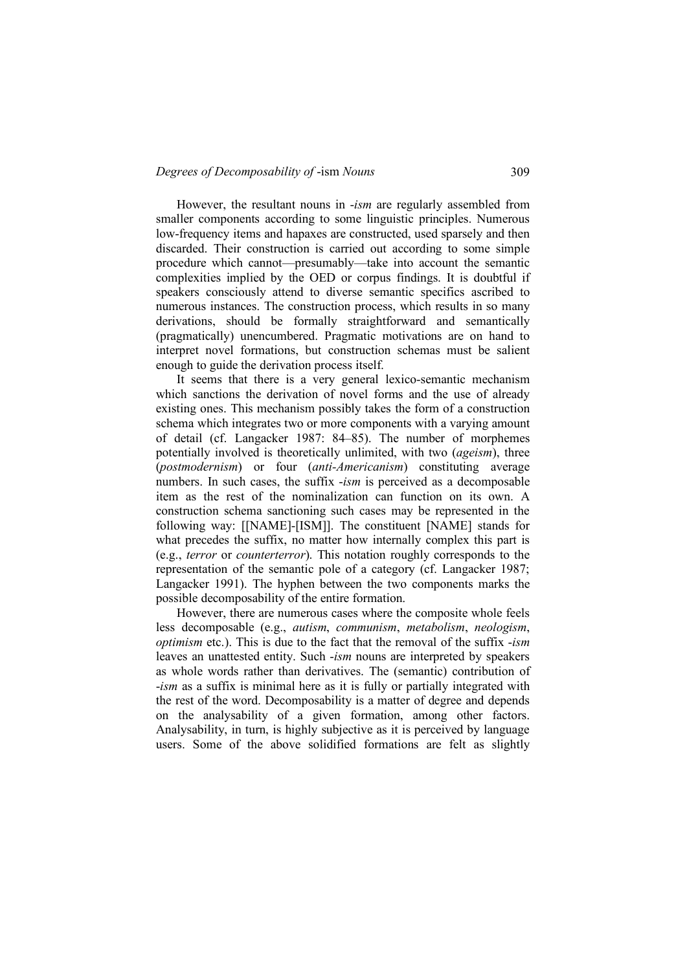#### *Degrees of Decomposability of -ism Nouns* 309

However, the resultant nouns in -*ism* are regularly assembled from smaller components according to some linguistic principles. Numerous low-frequency items and hapaxes are constructed, used sparsely and then discarded. Their construction is carried out according to some simple procedure which cannot—presumably—take into account the semantic complexities implied by the OED or corpus findings. It is doubtful if speakers consciously attend to diverse semantic specifics ascribed to numerous instances. The construction process, which results in so many derivations, should be formally straightforward and semantically (pragmatically) unencumbered. Pragmatic motivations are on hand to interpret novel formations, but construction schemas must be salient enough to guide the derivation process itself.

It seems that there is a very general lexico-semantic mechanism which sanctions the derivation of novel forms and the use of already existing ones. This mechanism possibly takes the form of a construction schema which integrates two or more components with a varying amount of detail (cf. Langacker 1987: 84–85). The number of morphemes potentially involved is theoretically unlimited, with two (*ageism*), three (*postmodernism*) or four (*anti-Americanism*) constituting average numbers. In such cases, the suffix -*ism* is perceived as a decomposable item as the rest of the nominalization can function on its own. A construction schema sanctioning such cases may be represented in the following way: [[NAME]-[ISM]]. The constituent [NAME] stands for what precedes the suffix, no matter how internally complex this part is (e.g., *terror* or *counterterror*). This notation roughly corresponds to the representation of the semantic pole of a category (cf. Langacker 1987; Langacker 1991). The hyphen between the two components marks the possible decomposability of the entire formation.

However, there are numerous cases where the composite whole feels less decomposable (e.g., *autism*, *communism*, *metabolism*, *neologism*, *optimism* etc.). This is due to the fact that the removal of the suffix -*ism* leaves an unattested entity. Such -*ism* nouns are interpreted by speakers as whole words rather than derivatives. The (semantic) contribution of -*ism* as a suffix is minimal here as it is fully or partially integrated with the rest of the word. Decomposability is a matter of degree and depends on the analysability of a given formation, among other factors. Analysability, in turn, is highly subjective as it is perceived by language users. Some of the above solidified formations are felt as slightly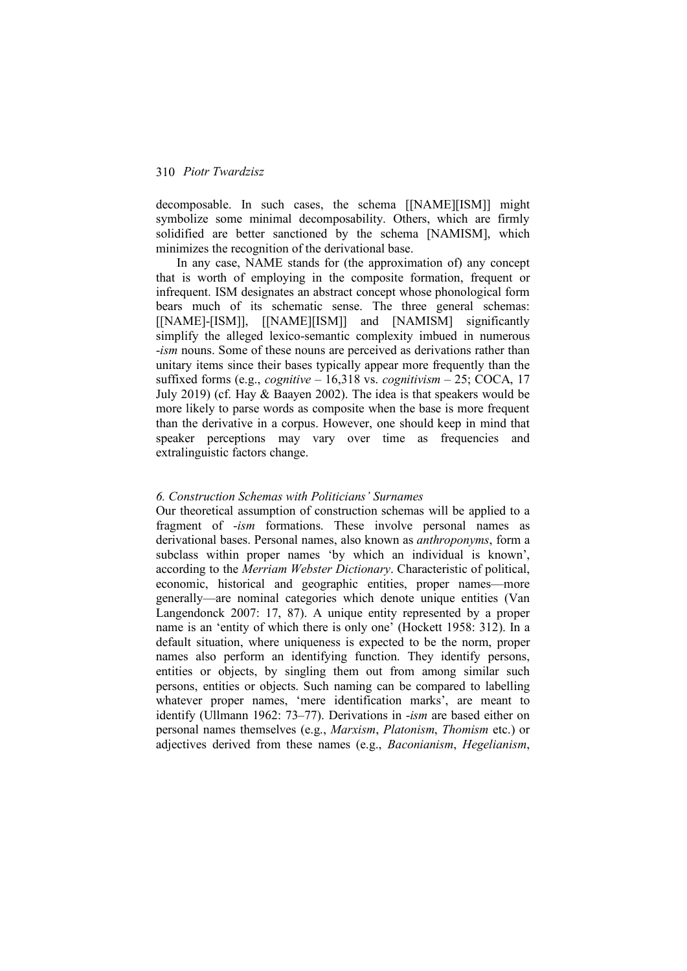decomposable. In such cases, the schema [[NAME][ISM]] might symbolize some minimal decomposability. Others, which are firmly solidified are better sanctioned by the schema [NAMISM], which minimizes the recognition of the derivational base.

In any case, NAME stands for (the approximation of) any concept that is worth of employing in the composite formation, frequent or infrequent. ISM designates an abstract concept whose phonological form bears much of its schematic sense. The three general schemas: [[NAME]-[ISM]], [[NAME][ISM]] and [NAMISM] significantly simplify the alleged lexico-semantic complexity imbued in numerous -*ism* nouns. Some of these nouns are perceived as derivations rather than unitary items since their bases typically appear more frequently than the suffixed forms (e.g., *cognitive* – 16,318 vs. *cognitivism* – 25; COCA, 17 July 2019) (cf. Hay & Baayen 2002). The idea is that speakers would be more likely to parse words as composite when the base is more frequent than the derivative in a corpus. However, one should keep in mind that speaker perceptions may vary over time as frequencies and extralinguistic factors change.

# *6. Construction Schemas with Politicians' Surnames*

Our theoretical assumption of construction schemas will be applied to a fragment of -*ism* formations. These involve personal names as derivational bases. Personal names, also known as *anthroponyms*, form a subclass within proper names 'by which an individual is known', according to the *Merriam Webster Dictionary*. Characteristic of political, economic, historical and geographic entities, proper names—more generally—are nominal categories which denote unique entities (Van Langendonck 2007: 17, 87). A unique entity represented by a proper name is an 'entity of which there is only one' (Hockett 1958: 312). In a default situation, where uniqueness is expected to be the norm, proper names also perform an identifying function. They identify persons, entities or objects, by singling them out from among similar such persons, entities or objects. Such naming can be compared to labelling whatever proper names, 'mere identification marks', are meant to identify (Ullmann 1962: 73–77). Derivations in -*ism* are based either on personal names themselves (e.g., *Marxism*, *Platonism*, *Thomism* etc.) or adjectives derived from these names (e.g., *Baconianism*, *Hegelianism*,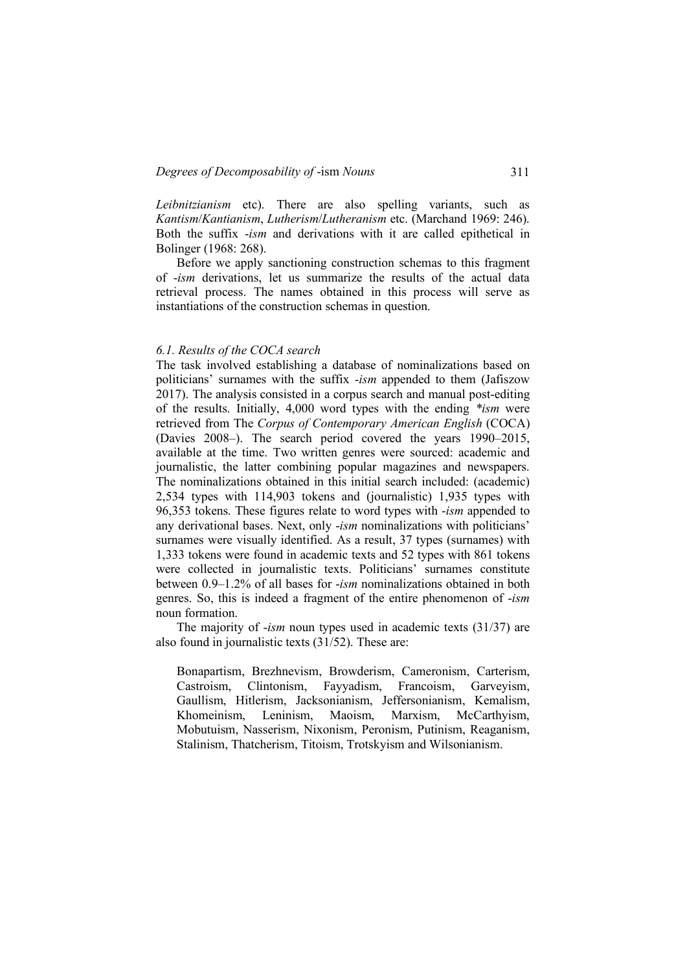*Leibnitzianism* etc). There are also spelling variants, such as *Kantism*/*Kantianism*, *Lutherism*/*Lutheranism* etc. (Marchand 1969: 246). Both the suffix -*ism* and derivations with it are called epithetical in Bolinger (1968: 268).

Before we apply sanctioning construction schemas to this fragment of -*ism* derivations, let us summarize the results of the actual data retrieval process. The names obtained in this process will serve as instantiations of the construction schemas in question.

#### *6.1. Results of the COCA search*

The task involved establishing a database of nominalizations based on politicians' surnames with the suffix -*ism* appended to them (Jafiszow 2017). The analysis consisted in a corpus search and manual post-editing of the results. Initially, 4,000 word types with the ending *\*ism* were retrieved from The *Corpus of Contemporary American English* (COCA) (Davies 2008–). The search period covered the years 1990–2015, available at the time. Two written genres were sourced: academic and journalistic, the latter combining popular magazines and newspapers. The nominalizations obtained in this initial search included: (academic) 2,534 types with 114,903 tokens and (journalistic) 1,935 types with 96,353 tokens. These figures relate to word types with -*ism* appended to any derivational bases. Next, only -*ism* nominalizations with politicians' surnames were visually identified. As a result, 37 types (surnames) with 1,333 tokens were found in academic texts and 52 types with 861 tokens were collected in journalistic texts. Politicians' surnames constitute between 0.9–1.2% of all bases for -*ism* nominalizations obtained in both genres. So, this is indeed a fragment of the entire phenomenon of -*ism* noun formation.

The majority of -*ism* noun types used in academic texts (31/37) are also found in journalistic texts (31/52). These are:

Bonapartism, Brezhnevism, Browderism, Cameronism, Carterism, Castroism, Clintonism, Fayyadism, Francoism, Garveyism, Gaullism, Hitlerism, Jacksonianism, Jeffersonianism, Kemalism, Khomeinism, Leninism, Maoism, Marxism, McCarthyism, Mobutuism, Nasserism, Nixonism, Peronism, Putinism, Reaganism, Stalinism, Thatcherism, Titoism, Trotskyism and Wilsonianism.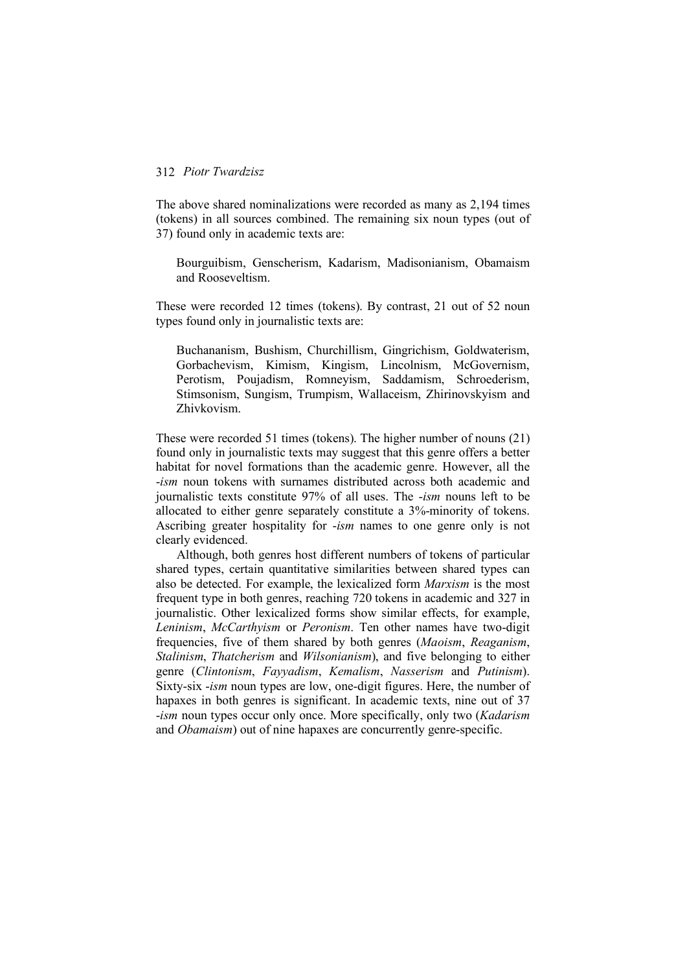The above shared nominalizations were recorded as many as 2,194 times (tokens) in all sources combined. The remaining six noun types (out of 37) found only in academic texts are:

Bourguibism, Genscherism, Kadarism, Madisonianism, Obamaism and Rooseveltism.

These were recorded 12 times (tokens). By contrast, 21 out of 52 noun types found only in journalistic texts are:

Buchananism, Bushism, Churchillism, Gingrichism, Goldwaterism, Gorbachevism, Kimism, Kingism, Lincolnism, McGovernism, Perotism, Poujadism, Romneyism, Saddamism, Schroederism, Stimsonism, Sungism, Trumpism, Wallaceism, Zhirinovskyism and Zhivkovism.

These were recorded 51 times (tokens). The higher number of nouns (21) found only in journalistic texts may suggest that this genre offers a better habitat for novel formations than the academic genre. However, all the -*ism* noun tokens with surnames distributed across both academic and journalistic texts constitute 97% of all uses. The -*ism* nouns left to be allocated to either genre separately constitute a 3%-minority of tokens. Ascribing greater hospitality for -*ism* names to one genre only is not clearly evidenced.

Although, both genres host different numbers of tokens of particular shared types, certain quantitative similarities between shared types can also be detected. For example, the lexicalized form *Marxism* is the most frequent type in both genres, reaching 720 tokens in academic and 327 in journalistic. Other lexicalized forms show similar effects, for example, *Leninism*, *McCarthyism* or *Peronism*. Ten other names have two-digit frequencies, five of them shared by both genres (*Maoism*, *Reaganism*, *Stalinism*, *Thatcherism* and *Wilsonianism*), and five belonging to either genre (*Clintonism*, *Fayyadism*, *Kemalism*, *Nasserism* and *Putinism*). Sixty-six -*ism* noun types are low, one-digit figures. Here, the number of hapaxes in both genres is significant. In academic texts, nine out of 37 -*ism* noun types occur only once. More specifically, only two (*Kadarism* and *Obamaism*) out of nine hapaxes are concurrently genre-specific.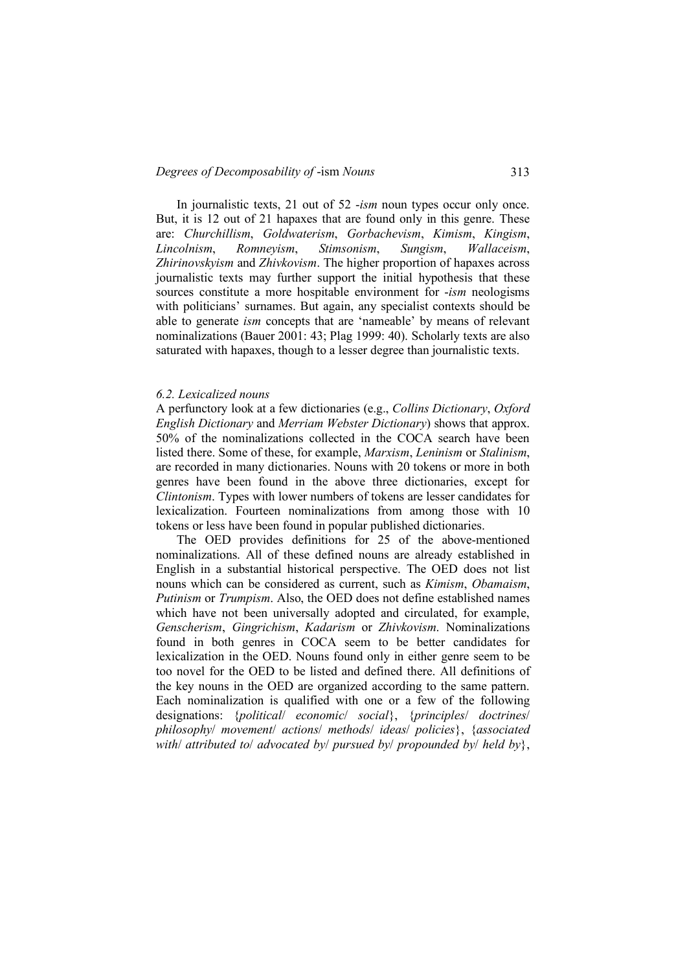#### *Degrees of Decomposability of* -ism *Nouns* 313

In journalistic texts, 21 out of 52 -*ism* noun types occur only once. But, it is 12 out of 21 hapaxes that are found only in this genre. These are: *Churchillism*, *Goldwaterism*, *Gorbachevism*, *Kimism*, *Kingism*, *Lincolnism*, *Romneyism*, *Stimsonism*, *Sungism*, *Wallaceism*, *Zhirinovskyism* and *Zhivkovism*. The higher proportion of hapaxes across journalistic texts may further support the initial hypothesis that these sources constitute a more hospitable environment for -*ism* neologisms with politicians' surnames. But again, any specialist contexts should be able to generate *ism* concepts that are 'nameable' by means of relevant nominalizations (Bauer 2001: 43; Plag 1999: 40). Scholarly texts are also saturated with hapaxes, though to a lesser degree than journalistic texts.

#### *6.2. Lexicalized nouns*

A perfunctory look at a few dictionaries (e.g., *Collins Dictionary*, *Oxford English Dictionary* and *Merriam Webster Dictionary*) shows that approx. 50% of the nominalizations collected in the COCA search have been listed there. Some of these, for example, *Marxism*, *Leninism* or *Stalinism*, are recorded in many dictionaries. Nouns with 20 tokens or more in both genres have been found in the above three dictionaries, except for *Clintonism*. Types with lower numbers of tokens are lesser candidates for lexicalization. Fourteen nominalizations from among those with 10 tokens or less have been found in popular published dictionaries.

The OED provides definitions for 25 of the above-mentioned nominalizations. All of these defined nouns are already established in English in a substantial historical perspective. The OED does not list nouns which can be considered as current, such as *Kimism*, *Obamaism*, *Putinism* or *Trumpism*. Also, the OED does not define established names which have not been universally adopted and circulated, for example, *Genscherism*, *Gingrichism*, *Kadarism* or *Zhivkovism*. Nominalizations found in both genres in COCA seem to be better candidates for lexicalization in the OED. Nouns found only in either genre seem to be too novel for the OED to be listed and defined there. All definitions of the key nouns in the OED are organized according to the same pattern. Each nominalization is qualified with one or a few of the following designations: {*political*/ *economic*/ *social*}, {*principles*/ *doctrines*/ *philosophy*/ *movement*/ *actions*/ *methods*/ *ideas*/ *policies*}, {*associated with*/ *attributed to*/ *advocated by*/ *pursued by*/ *propounded by*/ *held by*},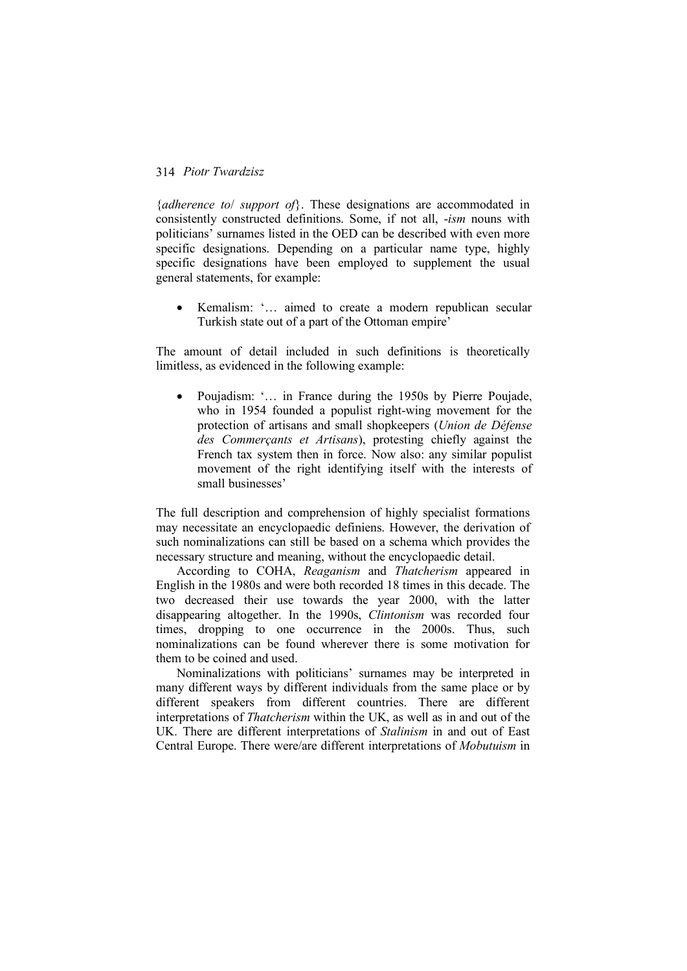{*adherence to*/ *support of*}. These designations are accommodated in consistently constructed definitions. Some, if not all, -*ism* nouns with politicians' surnames listed in the OED can be described with even more specific designations. Depending on a particular name type, highly specific designations have been employed to supplement the usual general statements, for example:

• Kemalism: '… aimed to create a modern republican secular Turkish state out of a part of the Ottoman empire'

The amount of detail included in such definitions is theoretically limitless, as evidenced in the following example:

• Poujadism: '… in France during the 1950s by Pierre Poujade, who in 1954 founded a populist right-wing movement for the protection of artisans and small shopkeepers (*Union de Défense des Commerçants et Artisans*), protesting chiefly against the French tax system then in force. Now also: any similar populist movement of the right identifying itself with the interests of small businesses'

The full description and comprehension of highly specialist formations may necessitate an encyclopaedic definiens. However, the derivation of such nominalizations can still be based on a schema which provides the necessary structure and meaning, without the encyclopaedic detail.

According to COHA, *Reaganism* and *Thatcherism* appeared in English in the 1980s and were both recorded 18 times in this decade. The two decreased their use towards the year 2000, with the latter disappearing altogether. In the 1990s, *Clintonism* was recorded four times, dropping to one occurrence in the 2000s. Thus, such nominalizations can be found wherever there is some motivation for them to be coined and used.

Nominalizations with politicians' surnames may be interpreted in many different ways by different individuals from the same place or by different speakers from different countries. There are different interpretations of *Thatcherism* within the UK, as well as in and out of the UK. There are different interpretations of *Stalinism* in and out of East Central Europe. There were/are different interpretations of *Mobutuism* in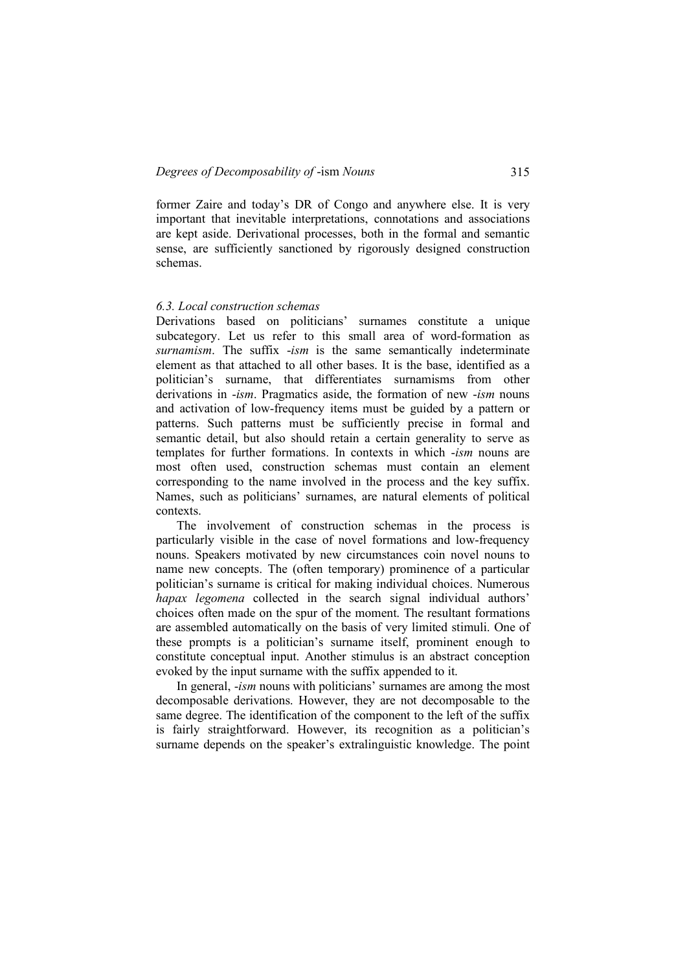former Zaire and today's DR of Congo and anywhere else. It is very important that inevitable interpretations, connotations and associations are kept aside. Derivational processes, both in the formal and semantic sense, are sufficiently sanctioned by rigorously designed construction schemas.

#### *6.3. Local construction schemas*

Derivations based on politicians' surnames constitute a unique subcategory. Let us refer to this small area of word-formation as *surnamism*. The suffix -*ism* is the same semantically indeterminate element as that attached to all other bases. It is the base, identified as a politician's surname, that differentiates surnamisms from other derivations in -*ism*. Pragmatics aside, the formation of new -*ism* nouns and activation of low-frequency items must be guided by a pattern or patterns. Such patterns must be sufficiently precise in formal and semantic detail, but also should retain a certain generality to serve as templates for further formations. In contexts in which -*ism* nouns are most often used, construction schemas must contain an element corresponding to the name involved in the process and the key suffix. Names, such as politicians' surnames, are natural elements of political contexts.

The involvement of construction schemas in the process is particularly visible in the case of novel formations and low-frequency nouns. Speakers motivated by new circumstances coin novel nouns to name new concepts. The (often temporary) prominence of a particular politician's surname is critical for making individual choices. Numerous *hapax legomena* collected in the search signal individual authors' choices often made on the spur of the moment. The resultant formations are assembled automatically on the basis of very limited stimuli. One of these prompts is a politician's surname itself, prominent enough to constitute conceptual input. Another stimulus is an abstract conception evoked by the input surname with the suffix appended to it.

In general, -*ism* nouns with politicians' surnames are among the most decomposable derivations. However, they are not decomposable to the same degree. The identification of the component to the left of the suffix is fairly straightforward. However, its recognition as a politician's surname depends on the speaker's extralinguistic knowledge. The point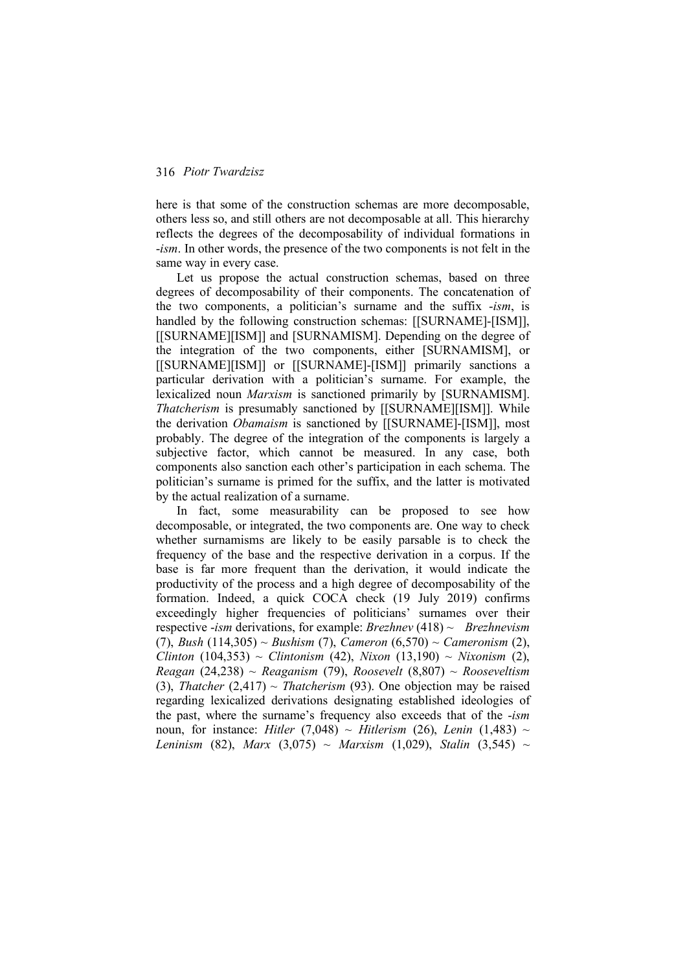here is that some of the construction schemas are more decomposable, others less so, and still others are not decomposable at all. This hierarchy reflects the degrees of the decomposability of individual formations in -*ism*. In other words, the presence of the two components is not felt in the same way in every case.

Let us propose the actual construction schemas, based on three degrees of decomposability of their components. The concatenation of the two components, a politician's surname and the suffix -*ism*, is handled by the following construction schemas: [[SURNAME]-[ISM]], [[SURNAME][ISM]] and [SURNAMISM]. Depending on the degree of the integration of the two components, either [SURNAMISM], or [[SURNAME][ISM]] or [[SURNAME]-[ISM]] primarily sanctions a particular derivation with a politician's surname. For example, the lexicalized noun *Marxism* is sanctioned primarily by [SURNAMISM]. *Thatcherism* is presumably sanctioned by [[SURNAME][ISM]]. While the derivation *Obamaism* is sanctioned by [[SURNAME]-[ISM]], most probably. The degree of the integration of the components is largely a subjective factor, which cannot be measured. In any case, both components also sanction each other's participation in each schema. The politician's surname is primed for the suffix, and the latter is motivated by the actual realization of a surname.

In fact, some measurability can be proposed to see how decomposable, or integrated, the two components are. One way to check whether surnamisms are likely to be easily parsable is to check the frequency of the base and the respective derivation in a corpus. If the base is far more frequent than the derivation, it would indicate the productivity of the process and a high degree of decomposability of the formation. Indeed, a quick COCA check (19 July 2019) confirms exceedingly higher frequencies of politicians' surnames over their respective -*ism* derivations, for example: *Brezhnev* (418) ~ *Brezhnevism* (7), *Bush* (114,305) ~ *Bushism* (7), *Cameron* (6,570) ~ *Cameronism* (2), *Clinton* (104,353) ~ *Clintonism* (42), *Nixon* (13,190) ~ *Nixonism* (2), *Reagan* (24,238) ~ *Reaganism* (79), *Roosevelt* (8,807) ~ *Rooseveltism* (3), *Thatcher* (2,417)  $\sim$  *Thatcherism* (93). One objection may be raised regarding lexicalized derivations designating established ideologies of the past, where the surname's frequency also exceeds that of the -*ism* noun, for instance: *Hitler* (7,048) ~ *Hitlerism* (26), *Lenin* (1,483) ~ *Leninism* (82), *Marx* (3,075) ~ *Marxism* (1,029), *Stalin* (3,545) ~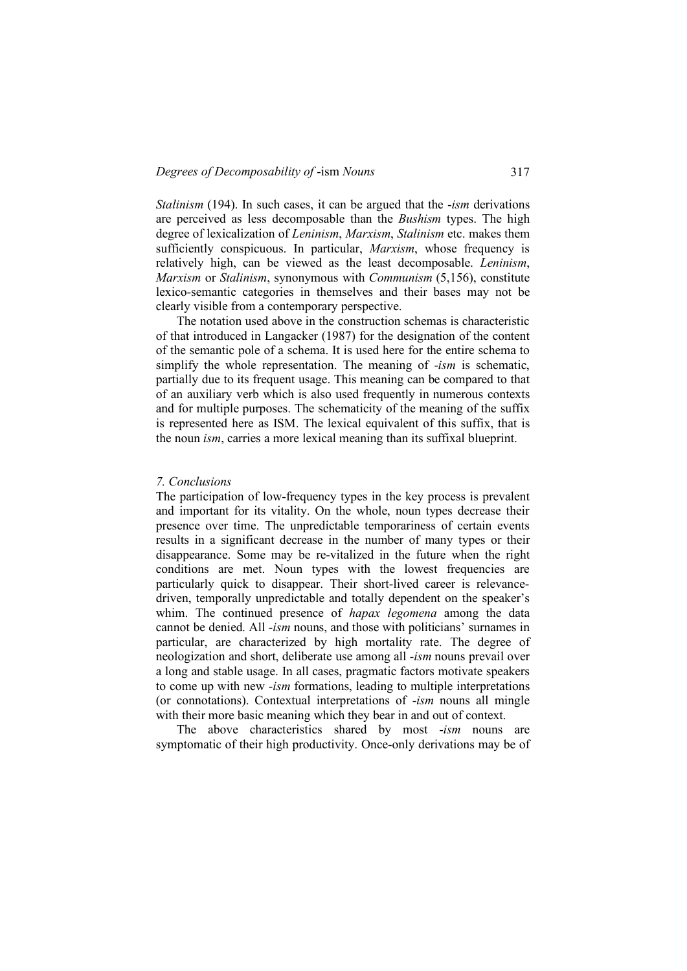*Stalinism* (194). In such cases, it can be argued that the -*ism* derivations are perceived as less decomposable than the *Bushism* types. The high degree of lexicalization of *Leninism*, *Marxism*, *Stalinism* etc. makes them sufficiently conspicuous. In particular, *Marxism*, whose frequency is relatively high, can be viewed as the least decomposable. *Leninism*, *Marxism* or *Stalinism*, synonymous with *Communism* (5,156), constitute lexico-semantic categories in themselves and their bases may not be clearly visible from a contemporary perspective.

The notation used above in the construction schemas is characteristic of that introduced in Langacker (1987) for the designation of the content of the semantic pole of a schema. It is used here for the entire schema to simplify the whole representation. The meaning of -*ism* is schematic, partially due to its frequent usage. This meaning can be compared to that of an auxiliary verb which is also used frequently in numerous contexts and for multiple purposes. The schematicity of the meaning of the suffix is represented here as ISM. The lexical equivalent of this suffix, that is the noun *ism*, carries a more lexical meaning than its suffixal blueprint.

#### *7. Conclusions*

The participation of low-frequency types in the key process is prevalent and important for its vitality. On the whole, noun types decrease their presence over time. The unpredictable temporariness of certain events results in a significant decrease in the number of many types or their disappearance. Some may be re-vitalized in the future when the right conditions are met. Noun types with the lowest frequencies are particularly quick to disappear. Their short-lived career is relevancedriven, temporally unpredictable and totally dependent on the speaker's whim. The continued presence of *hapax legomena* among the data cannot be denied. All -*ism* nouns, and those with politicians' surnames in particular, are characterized by high mortality rate. The degree of neologization and short, deliberate use among all -*ism* nouns prevail over a long and stable usage. In all cases, pragmatic factors motivate speakers to come up with new -*ism* formations, leading to multiple interpretations (or connotations). Contextual interpretations of -*ism* nouns all mingle with their more basic meaning which they bear in and out of context.

The above characteristics shared by most -*ism* nouns are symptomatic of their high productivity. Once-only derivations may be of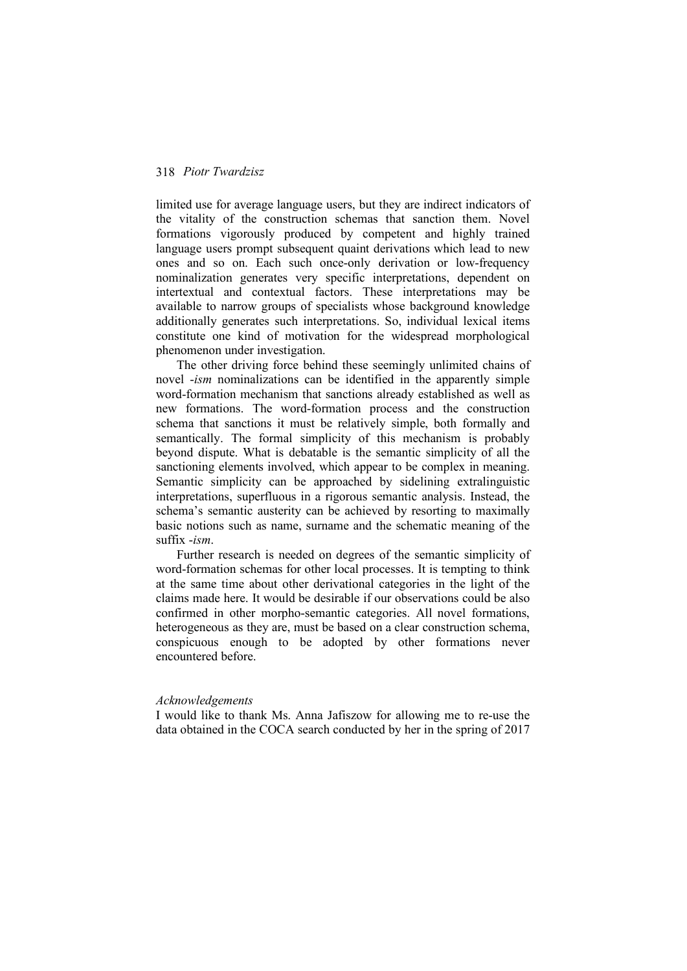limited use for average language users, but they are indirect indicators of the vitality of the construction schemas that sanction them. Novel formations vigorously produced by competent and highly trained language users prompt subsequent quaint derivations which lead to new ones and so on. Each such once-only derivation or low-frequency nominalization generates very specific interpretations, dependent on intertextual and contextual factors. These interpretations may be available to narrow groups of specialists whose background knowledge additionally generates such interpretations. So, individual lexical items constitute one kind of motivation for the widespread morphological phenomenon under investigation.

The other driving force behind these seemingly unlimited chains of novel -*ism* nominalizations can be identified in the apparently simple word-formation mechanism that sanctions already established as well as new formations. The word-formation process and the construction schema that sanctions it must be relatively simple, both formally and semantically. The formal simplicity of this mechanism is probably beyond dispute. What is debatable is the semantic simplicity of all the sanctioning elements involved, which appear to be complex in meaning. Semantic simplicity can be approached by sidelining extralinguistic interpretations, superfluous in a rigorous semantic analysis. Instead, the schema's semantic austerity can be achieved by resorting to maximally basic notions such as name, surname and the schematic meaning of the suffix -*ism*.

Further research is needed on degrees of the semantic simplicity of word-formation schemas for other local processes. It is tempting to think at the same time about other derivational categories in the light of the claims made here. It would be desirable if our observations could be also confirmed in other morpho-semantic categories. All novel formations, heterogeneous as they are, must be based on a clear construction schema, conspicuous enough to be adopted by other formations never encountered before.

#### *Acknowledgements*

I would like to thank Ms. Anna Jafiszow for allowing me to re-use the data obtained in the COCA search conducted by her in the spring of 2017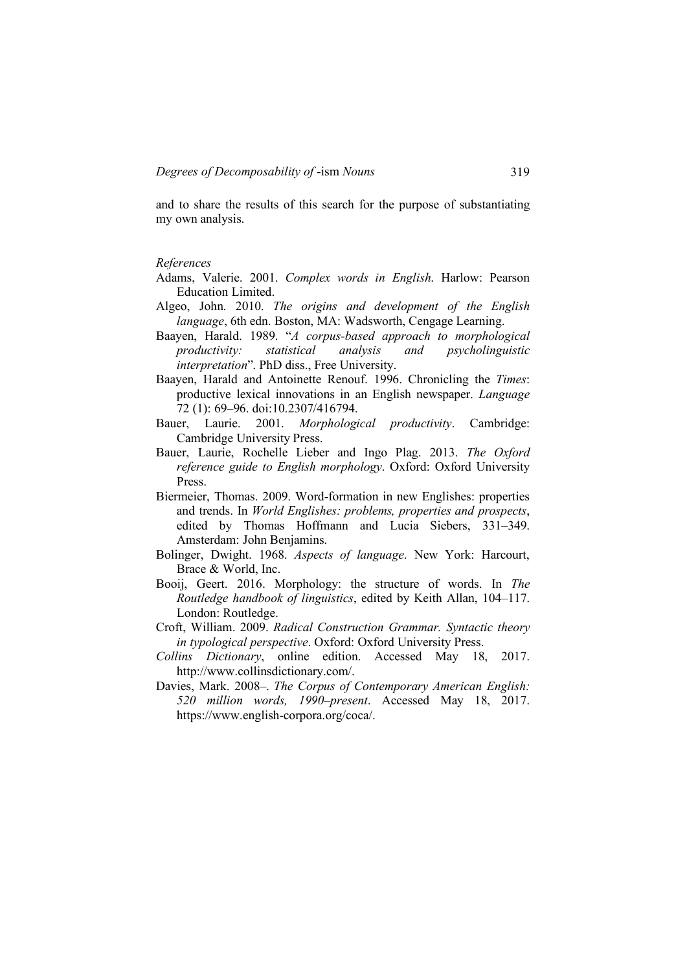and to share the results of this search for the purpose of substantiating my own analysis.

### *References*

- Adams, Valerie. 2001. *Complex words in English*. Harlow: Pearson Education Limited.
- Algeo, John. 2010. *The origins and development of the English language*, 6th edn. Boston, MA: Wadsworth, Cengage Learning.
- Baayen, Harald. 1989. "*A corpus-based approach to morphological productivity: statistical analysis and psycholinguistic interpretation*". PhD diss., Free University.
- Baayen, Harald and Antoinette Renouf. 1996. Chronicling the *Times*: productive lexical innovations in an English newspaper. *Language* 72 (1): 69–96. doi:10.2307/416794.
- Bauer, Laurie. 2001. *Morphological productivity*. Cambridge: Cambridge University Press.
- Bauer, Laurie, Rochelle Lieber and Ingo Plag. 2013. *The Oxford reference guide to English morphology*. Oxford: Oxford University Press.
- Biermeier, Thomas. 2009. Word-formation in new Englishes: properties and trends. In *World Englishes: problems, properties and prospects*, edited by Thomas Hoffmann and Lucia Siebers, 331–349. Amsterdam: John Benjamins.
- Bolinger, Dwight. 1968. *Aspects of language*. New York: Harcourt, Brace & World, Inc.
- Booij, Geert. 2016. Morphology: the structure of words. In *The Routledge handbook of linguistics*, edited by Keith Allan, 104–117. London: Routledge.
- Croft, William. 2009. *Radical Construction Grammar. Syntactic theory in typological perspective*. Oxford: Oxford University Press.
- *Collins Dictionary*, online edition. Accessed May 18, 2017. http://www.collinsdictionary.com/.
- Davies, Mark. 2008–. *The Corpus of Contemporary American English: 520 million words, 1990*–*present*. Accessed May 18, 2017. https://www.english-corpora.org/coca/.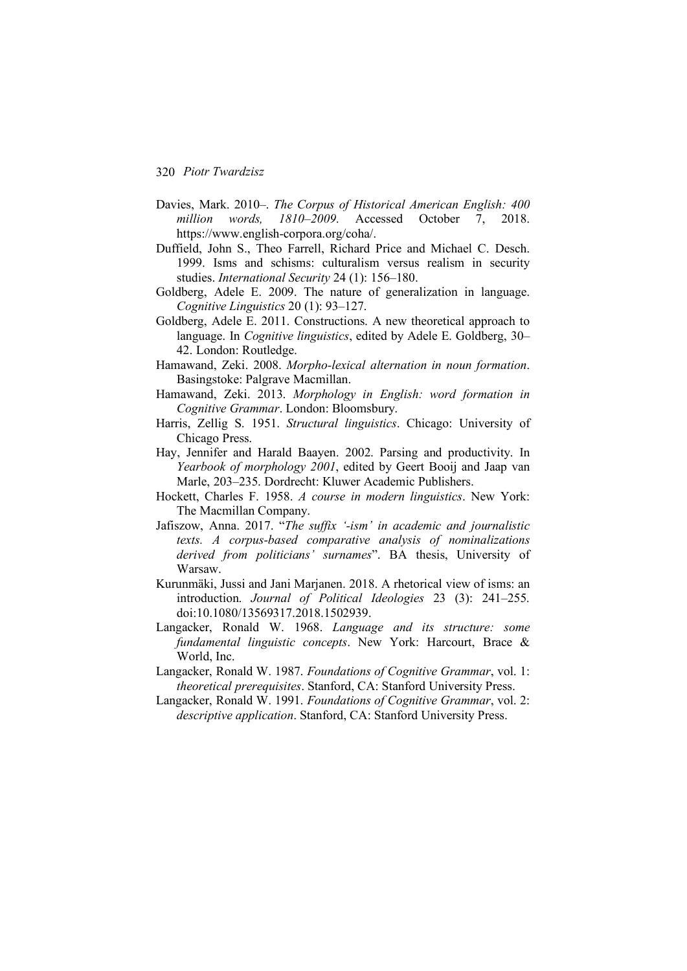- Davies, Mark. 2010–. *The Corpus of Historical American English: 400 million words, 1810–2009*. Accessed October 7, 2018. https://www.english-corpora.org/coha/.
- Duffield, John S., Theo Farrell, Richard Price and Michael C. Desch. 1999. Isms and schisms: culturalism versus realism in security studies. *International Security* 24 (1): 156–180.
- Goldberg, Adele E. 2009. The nature of generalization in language. *Cognitive Linguistics* 20 (1): 93–127.
- Goldberg, Adele E. 2011. Constructions. A new theoretical approach to language. In *Cognitive linguistics*, edited by Adele E. Goldberg, 30– 42. London: Routledge.
- Hamawand, Zeki. 2008. *Morpho-lexical alternation in noun formation*. Basingstoke: Palgrave Macmillan.
- Hamawand, Zeki. 2013. *Morphology in English: word formation in Cognitive Grammar*. London: Bloomsbury.
- Harris, Zellig S. 1951. *Structural linguistics*. Chicago: University of Chicago Press.
- Hay, Jennifer and Harald Baayen. 2002. Parsing and productivity. In *Yearbook of morphology 2001*, edited by Geert Booij and Jaap van Marle, 203–235. Dordrecht: Kluwer Academic Publishers.
- Hockett, Charles F. 1958. *A course in modern linguistics*. New York: The Macmillan Company.
- Jafiszow, Anna. 2017. "*The suffix '-ism' in academic and journalistic texts. A corpus-based comparative analysis of nominalizations derived from politicians' surnames*". BA thesis, University of Warsaw.
- Kurunmäki, Jussi and Jani Marjanen. 2018. A rhetorical view of isms: an introduction. *Journal of Political Ideologies* 23 (3): 241–255. doi:10.1080/13569317.2018.1502939.
- Langacker, Ronald W. 1968. *Language and its structure: some fundamental linguistic concepts*. New York: Harcourt, Brace & World, Inc.
- Langacker, Ronald W. 1987. *Foundations of Cognitive Grammar*, vol. 1: *theoretical prerequisites*. Stanford, CA: Stanford University Press.
- Langacker, Ronald W. 1991. *Foundations of Cognitive Grammar*, vol. 2: *descriptive application*. Stanford, CA: Stanford University Press.